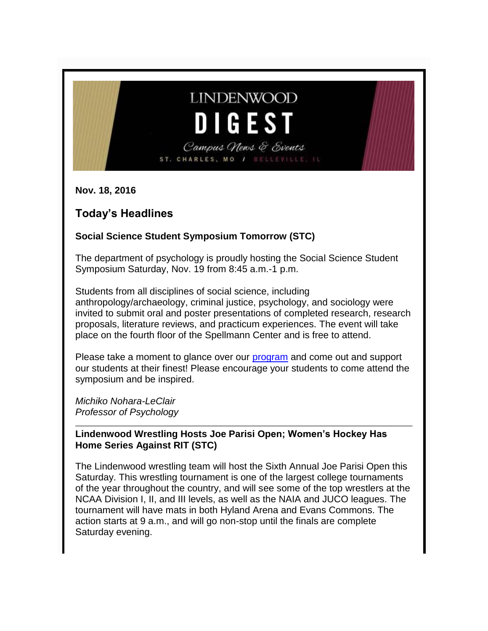# **LINDENWOOD** DIGEST

Campus News & Events ST. CHARLES, MO / BELLEVILLE,

**Nov. 18, 2016**

# **Today's Headlines**

### **Social Science Student Symposium Tomorrow (STC)**

The department of psychology is proudly hosting the Social Science Student Symposium Saturday, Nov. 19 from 8:45 a.m.-1 p.m.

Students from all disciplines of social science, including anthropology/archaeology, criminal justice, psychology, and sociology were invited to submit oral and poster presentations of completed research, research proposals, literature reviews, and practicum experiences. The event will take place on the fourth floor of the Spellmann Center and is free to attend.

Please take a moment to glance over our [program](http://felix.lindenwood.edu/newsletter/2016_11/symposiumprogram.pdf) and come out and support our students at their finest! Please encourage your students to come attend the symposium and be inspired.

*Michiko Nohara-LeClair Professor of Psychology*

**Lindenwood Wrestling Hosts Joe Parisi Open; Women's Hockey Has Home Series Against RIT (STC)**

The Lindenwood wrestling team will host the Sixth Annual Joe Parisi Open this Saturday. This wrestling tournament is one of the largest college tournaments of the year throughout the country, and will see some of the top wrestlers at the NCAA Division I, II, and III levels, as well as the NAIA and JUCO leagues. The tournament will have mats in both Hyland Arena and Evans Commons. The action starts at 9 a.m., and will go non-stop until the finals are complete Saturday evening.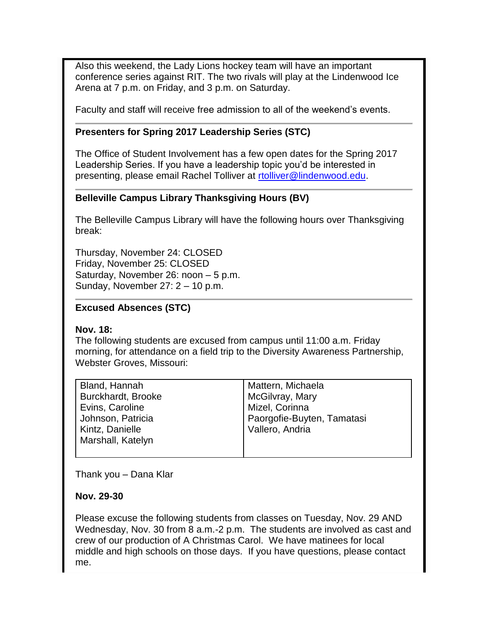Also this weekend, the Lady Lions hockey team will have an important conference series against RIT. The two rivals will play at the Lindenwood Ice Arena at 7 p.m. on Friday, and 3 p.m. on Saturday.

Faculty and staff will receive free admission to all of the weekend's events.

#### **Presenters for Spring 2017 Leadership Series (STC)**

The Office of Student Involvement has a few open dates for the Spring 2017 Leadership Series. If you have a leadership topic you'd be interested in presenting, please email Rachel Tolliver at [rtolliver@lindenwood.edu.](mailto:rtolliver@lindenwood.edu)

#### **Belleville Campus Library Thanksgiving Hours (BV)**

The Belleville Campus Library will have the following hours over Thanksgiving break:

Thursday, November 24: CLOSED Friday, November 25: CLOSED Saturday, November 26: noon – 5 p.m. Sunday, November 27: 2 – 10 p.m.

#### **Excused Absences (STC)**

#### **Nov. 18:**

The following students are excused from campus until 11:00 a.m. Friday morning, for attendance on a field trip to the Diversity Awareness Partnership, Webster Groves, Missouri:

| <b>Bland, Hannah</b>      | Mattern, Michaela          |
|---------------------------|----------------------------|
| <b>Burckhardt, Brooke</b> | McGilvray, Mary            |
| Evins, Caroline           | Mizel, Corinna             |
| Johnson, Patricia         | Paorgofie-Buyten, Tamatasi |
| Kintz, Danielle           | Vallero, Andria            |
| Marshall, Katelyn         |                            |
|                           |                            |

Thank you – Dana Klar

#### **Nov. 29-30**

Please excuse the following students from classes on Tuesday, Nov. 29 AND Wednesday, Nov. 30 from 8 a.m.-2 p.m. The students are involved as cast and crew of our production of A Christmas Carol. We have matinees for local middle and high schools on those days. If you have questions, please contact me.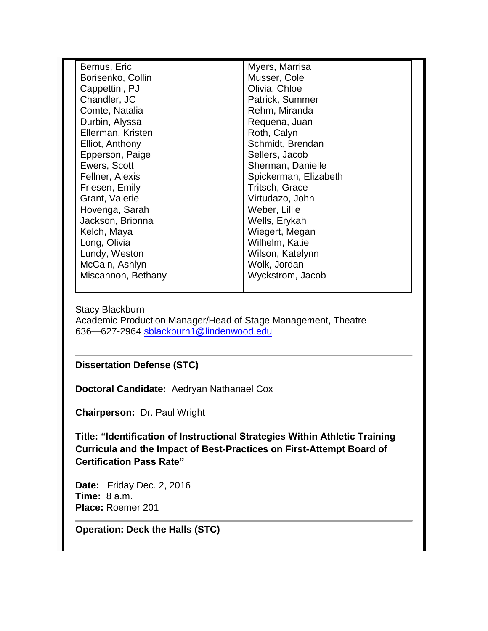| Bemus, Eric        | Myers, Marrisa        |  |
|--------------------|-----------------------|--|
| Borisenko, Collin  | Musser, Cole          |  |
| Cappettini, PJ     | Olivia, Chloe         |  |
| Chandler, JC       | Patrick, Summer       |  |
| Comte, Natalia     | Rehm, Miranda         |  |
| Durbin, Alyssa     | Requena, Juan         |  |
| Ellerman, Kristen  | Roth, Calyn           |  |
| Elliot, Anthony    | Schmidt, Brendan      |  |
| Epperson, Paige    | Sellers, Jacob        |  |
| Ewers, Scott       | Sherman, Danielle     |  |
| Fellner, Alexis    | Spickerman, Elizabeth |  |
| Friesen, Emily     | Tritsch, Grace        |  |
| Grant, Valerie     | Virtudazo, John       |  |
| Hovenga, Sarah     | Weber, Lillie         |  |
| Jackson, Brionna   | Wells, Erykah         |  |
| Kelch, Maya        | Wiegert, Megan        |  |
| Long, Olivia       | Wilhelm, Katie        |  |
| Lundy, Weston      | Wilson, Katelynn      |  |
| McCain, Ashlyn     | Wolk, Jordan          |  |
| Miscannon, Bethany | Wyckstrom, Jacob      |  |
|                    |                       |  |

Stacy Blackburn Academic Production Manager/Head of Stage Management, Theatre 636—627-2964 [sblackburn1@lindenwood.edu](mailto:sblackburn1@lindenwood.edu)

#### **Dissertation Defense (STC)**

**Doctoral Candidate:** Aedryan Nathanael Cox

**Chairperson:** Dr. Paul Wright

**Title: "Identification of Instructional Strategies Within Athletic Training Curricula and the Impact of Best-Practices on First-Attempt Board of Certification Pass Rate"**

**Date:** Friday Dec. 2, 2016 **Time:** 8 a.m. **Place:** Roemer 201

**Operation: Deck the Halls (STC)**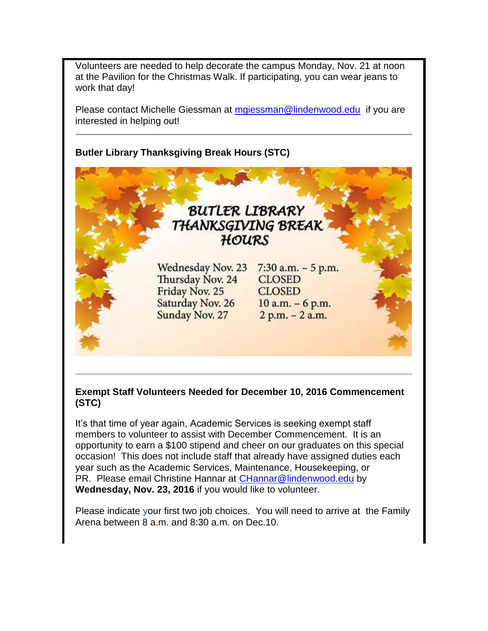Volunteers are needed to help decorate the campus Monday, Nov. 21 at noon at the Pavilion for the Christmas Walk. If participating, you can wear jeans to work that day!

Please contact Michelle Giessman at [mgiessman@lindenwood.edu](mailto:mgiessman@lindenwood.edu) if you are interested in helping out!

**Butler Library Thanksgiving Break Hours (STC)**

# BUTLER LIBRARY THANKSGIVING BREAK HOURS

Wednesday Nov. 23 Thursday Nov. 24 Friday Nov. 25 Saturday Nov. 26 Sunday Nov. 27

 $7:30$  a.m.  $-5$  p.m. **CLOSED CLOSED**  $10$  a.m.  $-6$  p.m.  $2 p.m. - 2 a.m.$ 

#### **Exempt Staff Volunteers Needed for December 10, 2016 Commencement (STC)**

It's that time of year again, Academic Services is seeking exempt staff members to volunteer to assist with December Commencement. It is an opportunity to earn a \$100 stipend and cheer on our graduates on this special occasion! This does not include staff that already have assigned duties each year such as the Academic Services, Maintenance, Housekeeping, or PR. Please email Christine Hannar at [CHannar@lindenwood.edu](mailto:CHannar@lindenwood.edu) by **Wednesday, Nov. 23, 2016** if you would like to volunteer.

Please indicate your first two job choices. You will need to arrive at the Family Arena between 8 a.m. and 8:30 a.m. on Dec.10.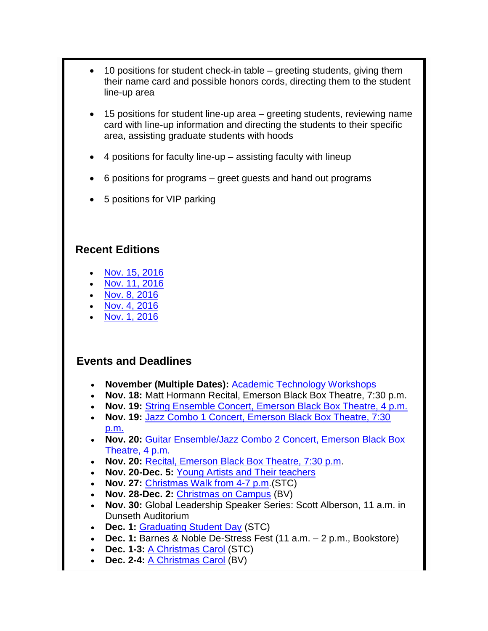- 10 positions for student check-in table greeting students, giving them their name card and possible honors cords, directing them to the student line-up area
- 15 positions for student line-up area greeting students, reviewing name card with line-up information and directing the students to their specific area, assisting graduate students with hoods
- 4 positions for faculty line-up assisting faculty with lineup
- 6 positions for programs greet guests and hand out programs
- 5 positions for VIP parking

# **Recent Editions**

- [Nov. 15, 2016](http://felix.lindenwood.edu/newsletter/digest/digest2016_11_15.pdf)
- [Nov. 11, 2016](http://felix.lindenwood.edu/newsletter/digest/digest2016_11_11.pdf)
- [Nov. 8, 2016](http://felix.lindenwood.edu/newsletter/digest/digest2016_11_08.pdf)
- [Nov. 4, 2016](http://felix.lindenwood.edu/newsletter/digest/digest2016_11_04.pdf) [Nov. 1, 2016](http://felix.lindenwood.edu/newsletter/digest/digest2016_11_01.pdf)
- 

# **Events and Deadlines**

- **November (Multiple Dates):** [Academic Technology Workshops](http://felix.lindenwood.edu/newsletter/2016_10/novnewsletter16.pdf)
- **Nov. 18:** Matt Hormann Recital, Emerson Black Box Theatre, 7:30 p.m.
- **Nov. 19:** [String Ensemble Concert, Emerson Black Box Theatre, 4 p.m.](http://www.lindenwood.edu/j-scheidegger-center-for-the-arts/upcoming-events/music/)
- **Nov. 19:** [Jazz Combo 1 Concert, Emerson Black Box Theatre, 7:30](http://www.lindenwood.edu/j-scheidegger-center-for-the-arts/upcoming-events/music/)  [p.m.](http://www.lindenwood.edu/j-scheidegger-center-for-the-arts/upcoming-events/music/)
- **Nov. 20:** [Guitar Ensemble/Jazz Combo 2 Concert, Emerson Black Box](http://www.lindenwood.edu/j-scheidegger-center-for-the-arts/upcoming-events/music/)  [Theatre, 4 p.m.](http://www.lindenwood.edu/j-scheidegger-center-for-the-arts/upcoming-events/music/)
- **Nov. 20:** [Recital, Emerson Black Box Theatre, 7:30 p.m.](http://www.lindenwood.edu/j-scheidegger-center-for-the-arts/upcoming-events/music/)
- **Nov. 20-Dec. 5:** [Young Artists and Their teachers](http://www.lindenwood.edu/j-scheidegger-center-for-the-arts/upcoming-events/art-exhibits/)
- **Nov. 27:** [Christmas Walk from 4-7 p.m.](http://felix.lindenwood.edu/newsletter/2016_11/christmas_walk.pdf)(STC)
- **Nov. 28-Dec. 2:** [Christmas on Campus](http://felix.lindenwood.edu/newsletter/2016_11/bv_christmasoncampus.jpg) (BV)
- **Nov. 30:** Global Leadership Speaker Series: Scott Alberson, 11 a.m. in Dunseth Auditorium
- **Dec. 1:** [Graduating Student Day](http://felix.lindenwood.edu/newsletter/2016_11/gradday.pdf) (STC)
- **Dec. 1:** Barnes & Noble De-Stress Fest (11 a.m. 2 p.m., Bookstore)
- **Dec. 1-3:** [A Christmas Carol](http://www.lindenwood.edu/j-scheidegger-center-for-the-arts/upcoming-events/university-theater/a-christmas-carol-dec-1-3/) (STC)
- **Dec. 2-4:** [A Christmas Carol](http://www.lindenwood.edu/belleville/academics/academic-enrichment/lindenwood-auditorium/a-christmas-carol-dec-2-4/) (BV)